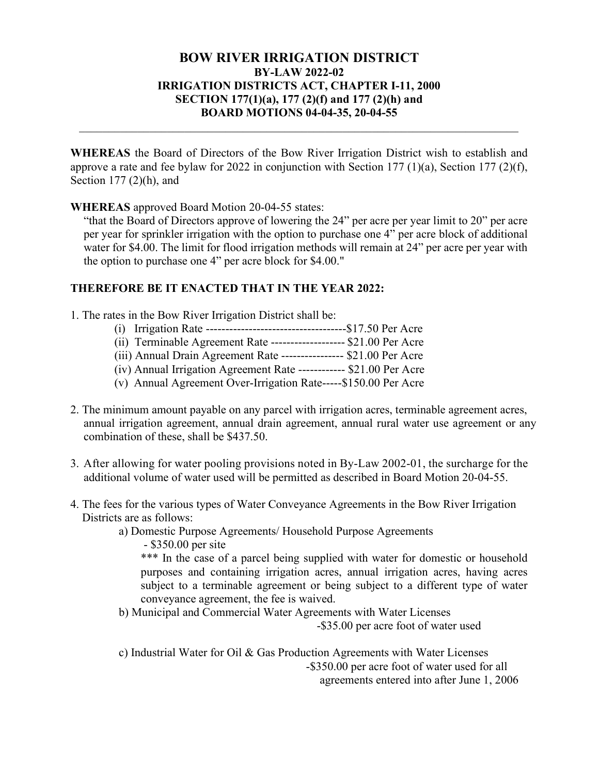## BOW RIVER IRRIGATION DISTRICT BY-LAW 2022-02 IRRIGATION DISTRICTS ACT, CHAPTER I-11, 2000 SECTION 177(1)(a), 177 (2)(f) and 177 (2)(h) and BOARD MOTIONS 04-04-35, 20-04-55

WHEREAS the Board of Directors of the Bow River Irrigation District wish to establish and approve a rate and fee bylaw for 2022 in conjunction with Section 177 (1)(a), Section 177 (2)(f), Section 177 (2)(h), and

## WHEREAS approved Board Motion 20-04-55 states:

"that the Board of Directors approve of lowering the 24" per acre per year limit to 20" per acre per year for sprinkler irrigation with the option to purchase one 4" per acre block of additional water for \$4.00. The limit for flood irrigation methods will remain at 24" per acre per year with the option to purchase one 4" per acre block for \$4.00."

## THEREFORE BE IT ENACTED THAT IN THE YEAR 2022:

- 1. The rates in the Bow River Irrigation District shall be:
	- (i) Irrigation Rate ------------------------------------\$17.50 Per Acre
	- (ii) Terminable Agreement Rate ------------------- \$21.00 Per Acre
	- (iii) Annual Drain Agreement Rate ---------------- \$21.00 Per Acre
	- (iv) Annual Irrigation Agreement Rate ------------ \$21.00 Per Acre
	- (v) Annual Agreement Over-Irrigation Rate-----\$150.00 Per Acre
- 2. The minimum amount payable on any parcel with irrigation acres, terminable agreement acres, annual irrigation agreement, annual drain agreement, annual rural water use agreement or any combination of these, shall be \$437.50.
- 3. After allowing for water pooling provisions noted in By-Law 2002-01, the surcharge for the additional volume of water used will be permitted as described in Board Motion 20-04-55.
- 4. The fees for the various types of Water Conveyance Agreements in the Bow River Irrigation Districts are as follows:
	- a) Domestic Purpose Agreements/ Household Purpose Agreements

- \$350.00 per site

\*\*\* In the case of a parcel being supplied with water for domestic or household purposes and containing irrigation acres, annual irrigation acres, having acres subject to a terminable agreement or being subject to a different type of water conveyance agreement, the fee is waived.

b) Municipal and Commercial Water Agreements with Water Licenses -\$35.00 per acre foot of water used

c) Industrial Water for Oil & Gas Production Agreements with Water Licenses -\$350.00 per acre foot of water used for all agreements entered into after June 1, 2006